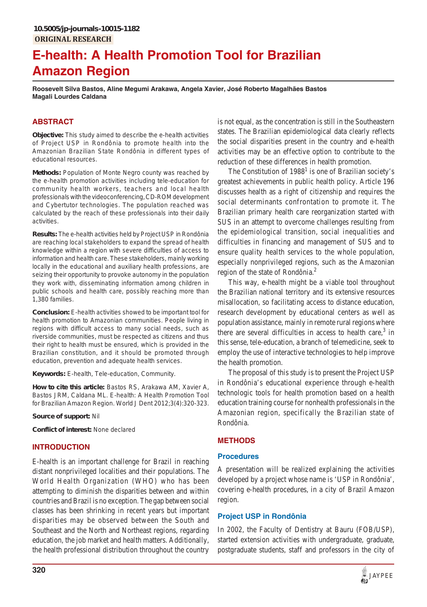# **E-health: A Health Promotion Tool for Brazilian Amazon Region**

**Roosevelt Silva Bastos, Aline Megumi Arakawa, Angela Xavier, José Roberto Magalhães Bastos Magali Lourdes Caldana**

# **ABSTRACT**

**Objective:** This study aimed to describe the e-health activities of Project USP in Rondônia to promote health into the Amazonian Brazilian State Rondônia in different types of educational resources.

**Methods:** Population of Monte Negro county was reached by the e-health promotion activities including tele-education for community health workers, teachers and local health professionals with the videoconferencing, CD-ROM development and Cybertutor technologies. The population reached was calculated by the reach of these professionals into their daily activities.

**Results:** The e-health activities held by Project USP in Rondônia are reaching local stakeholders to expand the spread of health knowledge within a region with severe difficulties of access to information and health care. These stakeholders, mainly working locally in the educational and auxiliary health professions, are seizing their opportunity to provoke autonomy in the population they work with, disseminating information among children in public schools and health care, possibly reaching more than 1,380 families.

**Conclusion:** E-health activities showed to be important tool for health promotion to Amazonian communities. People living in regions with difficult access to many social needs, such as riverside communities, must be respected as citizens and thus their right to health must be ensured, which is provided in the Brazilian constitution, and it should be promoted through education, prevention and adequate health services.

**Keywords:** E-health, Tele-education, Community.

**How to cite this article:** Bastos RS, Arakawa AM, Xavier A, Bastos JRM, Caldana ML. E-health: A Health Promotion Tool for Brazilian Amazon Region. World J Dent 2012;3(4):320-323.

**Source of support:** Nil

**Conflict of interest:** None declared

# **INTRODUCTION**

E-health is an important challenge for Brazil in reaching distant nonprivileged localities and their populations. The World Health Organization (WHO) who has been attempting to diminish the disparities between and within countries and Brazil is no exception. The gap between social classes has been shrinking in recent years but important disparities may be observed between the South and Southeast and the North and Northeast regions, regarding education, the job market and health matters. Additionally, the health professional distribution throughout the country

is not equal, as the concentration is still in the Southeastern states. The Brazilian epidemiological data clearly reflects the social disparities present in the country and e-health activities may be an effective option to contribute to the reduction of these differences in health promotion.

The Constitution of  $1988<sup>1</sup>$  is one of Brazilian society's greatest achievements in public health policy. Article 196 discusses health as a right of citizenship and requires the social determinants confrontation to promote it. The Brazilian primary health care reorganization started with SUS in an attempt to overcome challenges resulting from the epidemiological transition, social inequalities and difficulties in financing and management of SUS and to ensure quality health services to the whole population, especially nonprivileged regions, such as the Amazonian region of the state of Rondônia.<sup>2</sup>

This way, e-health might be a viable tool throughout the Brazilian national territory and its extensive resources misallocation, so facilitating access to distance education, research development by educational centers as well as population assistance, mainly in remote rural regions where there are several difficulties in access to health care, $3$  in this sense, tele-education, a branch of telemedicine, seek to employ the use of interactive technologies to help improve the health promotion.

The proposal of this study is to present the Project USP in Rondônia's educational experience through e-health technologic tools for health promotion based on a health education training course for nonhealth professionals in the Amazonian region, specifically the Brazilian state of Rondônia.

# **METHODS**

## **Procedures**

A presentation will be realized explaining the activities developed by a project whose name is 'USP in Rondônia', covering e-health procedures, in a city of Brazil Amazon region.

# **Project USP in Rondônia**

In 2002, the Faculty of Dentistry at Bauru (FOB/USP), started extension activities with undergraduate, graduate, postgraduate students, staff and professors in the city of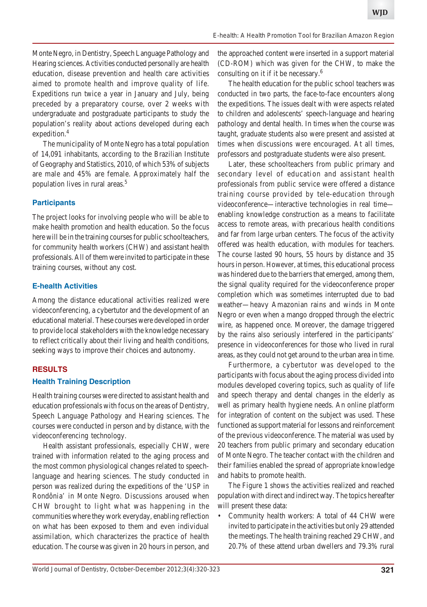Monte Negro, in Dentistry, Speech Language Pathology and Hearing sciences. Activities conducted personally are health education, disease prevention and health care activities aimed to promote health and improve quality of life. Expeditions run twice a year in January and July, being preceded by a preparatory course, over 2 weeks with undergraduate and postgraduate participants to study the population's reality about actions developed during each expedition.<sup>4</sup>

The municipality of Monte Negro has a total population of 14,091 inhabitants, according to the Brazilian Institute of Geography and Statistics, 2010, of which 53% of subjects are male and 45% are female. Approximately half the population lives in rural areas.5

## **Participants**

The project looks for involving people who will be able to make health promotion and health education. So the focus here will be in the training courses for public schoolteachers, for community health workers (CHW) and assistant health professionals. All of them were invited to participate in these training courses, without any cost.

## **E-health Activities**

Among the distance educational activities realized were videoconferencing, a cybertutor and the development of an educational material. These courses were developed in order to provide local stakeholders with the knowledge necessary to reflect critically about their living and health conditions, seeking ways to improve their choices and autonomy.

# **RESULTS Health Training Description**

Health training courses were directed to assistant health and education professionals with focus on the areas of Dentistry, Speech Language Pathology and Hearing sciences. The courses were conducted in person and by distance, with the videoconferencing technology.

Health assistant professionals, especially CHW, were trained with information related to the aging process and the most common physiological changes related to speechlanguage and hearing sciences. The study conducted in person was realized during the expeditions of the 'USP in Rondônia' in Monte Negro. Discussions aroused when CHW brought to light what was happening in the communities where they work everyday, enabling reflection on what has been exposed to them and even individual assimilation, which characterizes the practice of health education. The course was given in 20 hours in person, and the approached content were inserted in a support material (CD-ROM) which was given for the CHW, to make the consulting on it if it be necessary.<sup>6</sup>

The health education for the public school teachers was conducted in two parts, the face-to-face encounters along the expeditions. The issues dealt with were aspects related to children and adolescents' speech-language and hearing pathology and dental health. In times when the course was taught, graduate students also were present and assisted at times when discussions were encouraged. At all times, professors and postgraduate students were also present.

Later, these schoolteachers from public primary and secondary level of education and assistant health professionals from public service were offered a distance training course provided by tele-education through videoconference—interactive technologies in real time enabling knowledge construction as a means to facilitate access to remote areas, with precarious health conditions and far from large urban centers. The focus of the activity offered was health education, with modules for teachers. The course lasted 90 hours, 55 hours by distance and 35 hours in person. However, at times, this educational process was hindered due to the barriers that emerged, among them, the signal quality required for the videoconference proper completion which was sometimes interrupted due to bad weather—heavy Amazonian rains and winds in Monte Negro or even when a mango dropped through the electric wire, as happened once. Moreover, the damage triggered by the rains also seriously interfered in the participants' presence in videoconferences for those who lived in rural areas, as they could not get around to the urban area in time.

Furthermore, a cybertutor was developed to the participants with focus about the aging process divided into modules developed covering topics, such as quality of life and speech therapy and dental changes in the elderly as well as primary health hygiene needs. An online platform for integration of content on the subject was used. These functioned as support material for lessons and reinforcement of the previous videoconference. The material was used by 20 teachers from public primary and secondary education of Monte Negro. The teacher contact with the children and their families enabled the spread of appropriate knowledge and habits to promote health.

The Figure 1 shows the activities realized and reached population with direct and indirect way. The topics hereafter will present these data:

• Community health workers: A total of 44 CHW were invited to participate in the activities but only 29 attended the meetings. The health training reached 29 CHW, and 20.7% of these attend urban dwellers and 79.3% rural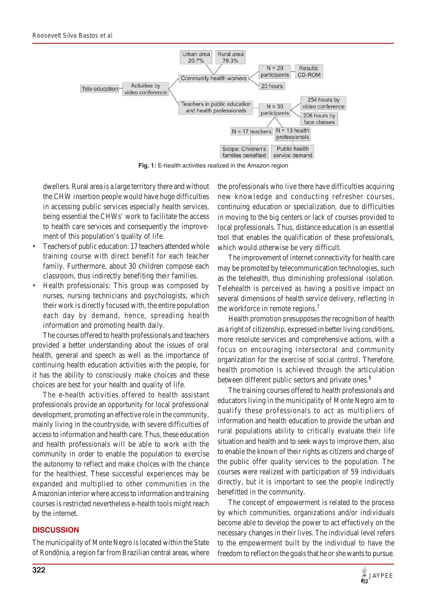

**Fig. 1:** E-health activities realized in the Amazon region

dwellers. Rural area is a large territory there and without the CHW insertion people would have huge difficulties in accessing public services especially health services, being essential the CHWs' work to facilitate the access to health care services and consequently the improvement of this population's quality of life.

- Teachers of public education: 17 teachers attended whole training course with direct benefit for each teacher family. Furthermore, about 30 children compose each classroom, thus indirectly benefiting their families.
- Health professionals: This group was composed by nurses, nursing technicians and psychologists, which their work is directly focused with, the entire population each day by demand, hence, spreading health information and promoting health daily.

The courses offered to health professionals and teachers provided a better understanding about the issues of oral health, general and speech as well as the importance of continuing health education activities with the people, for it has the ability to consciously make choices and these choices are best for your health and quality of life.

The e-health activities offered to health assistant professionals provide an opportunity for local professional development, promoting an effective role in the community, mainly living in the countryside, with severe difficulties of access to information and health care. Thus, these education and health professionals will be able to work with the community in order to enable the population to exercise the autonomy to reflect and make choices with the chance for the healthiest. These successful experiences may be expanded and multiplied to other communities in the Amazonian interior where access to information and training courses is restricted nevertheless e-health tools might reach by the internet.

#### **DISCUSSION**

The municipality of Monte Negro is located within the State of Rondônia, a region far from Brazilian central areas, where

the professionals who live there have difficulties acquiring new knowledge and conducting refresher courses, continuing education or specialization, due to difficulties in moving to the big centers or lack of courses provided to local professionals. Thus, distance education is an essential tool that enables the qualification of these professionals, which would otherwise be very difficult.

The improvement of internet connectivity for health care may be promoted by telecommunication technologies, such as the telehealth, thus diminishing professional isolation. Telehealth is perceived as having a positive impact on several dimensions of health service delivery, reflecting in the workforce in remote regions.<sup>7</sup>

Health promotion presupposes the recognition of health as a right of citizenship, expressed in better living conditions, more resolute services and comprehensive actions, with a focus on encouraging intersectoral and community organization for the exercise of social control. Therefore, health promotion is achieved through the articulation between different public sectors and private ones.<sup>8</sup>

The training courses offered to health professionals and educators living in the municipality of Monte Negro aim to qualify these professionals to act as multipliers of information and health education to provide the urban and rural populations ability to critically evaluate their life situation and health and to seek ways to improve them, also to enable the known of their rights as citizens and charge of the public offer quality services to the population. The courses were realized with participation of 59 individuals directly, but it is important to see the people indirectly benefitted in the community.

The concept of empowerment is related to the process by which communities, organizations and/or individuals become able to develop the power to act effectively on the necessary changes in their lives. The individual level refers to the empowerment built by the individual to have the freedom to reflect on the goals that he or she wants to pursue.